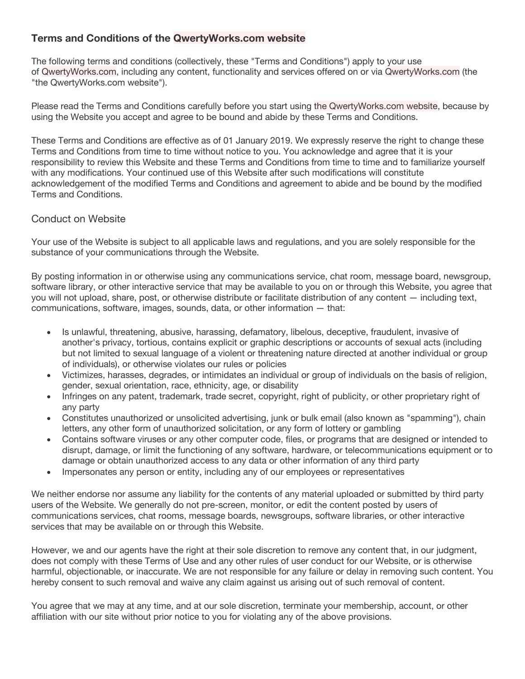# **Terms and Conditions of the QwertyWorks.com website**

The following terms and conditions (collectively, these "Terms and Conditions") apply to your use of QwertyWorks.com, including any content, functionality and services offered on or via QwertyWorks.com (the "the QwertyWorks.com website").

Please read the Terms and Conditions carefully before you start using the QwertyWorks.com website, because by using the Website you accept and agree to be bound and abide by these Terms and Conditions.

These Terms and Conditions are effective as of 01 January 2019. We expressly reserve the right to change these Terms and Conditions from time to time without notice to you. You acknowledge and agree that it is your responsibility to review this Website and these Terms and Conditions from time to time and to familiarize yourself with any modifications. Your continued use of this Website after such modifications will constitute acknowledgement of the modified Terms and Conditions and agreement to abide and be bound by the modified Terms and Conditions.

## Conduct on Website

Your use of the Website is subject to all applicable laws and regulations, and you are solely responsible for the substance of your communications through the Website.

By posting information in or otherwise using any communications service, chat room, message board, newsgroup, software library, or other interactive service that may be available to you on or through this Website, you agree that you will not upload, share, post, or otherwise distribute or facilitate distribution of any content — including text, communications, software, images, sounds, data, or other information — that:

- Is unlawful, threatening, abusive, harassing, defamatory, libelous, deceptive, fraudulent, invasive of another's privacy, tortious, contains explicit or graphic descriptions or accounts of sexual acts (including but not limited to sexual language of a violent or threatening nature directed at another individual or group of individuals), or otherwise violates our rules or policies
- Victimizes, harasses, degrades, or intimidates an individual or group of individuals on the basis of religion, gender, sexual orientation, race, ethnicity, age, or disability
- Infringes on any patent, trademark, trade secret, copyright, right of publicity, or other proprietary right of any party
- Constitutes unauthorized or unsolicited advertising, junk or bulk email (also known as "spamming"), chain letters, any other form of unauthorized solicitation, or any form of lottery or gambling
- Contains software viruses or any other computer code, files, or programs that are designed or intended to disrupt, damage, or limit the functioning of any software, hardware, or telecommunications equipment or to damage or obtain unauthorized access to any data or other information of any third party
- Impersonates any person or entity, including any of our employees or representatives

We neither endorse nor assume any liability for the contents of any material uploaded or submitted by third party users of the Website. We generally do not pre-screen, monitor, or edit the content posted by users of communications services, chat rooms, message boards, newsgroups, software libraries, or other interactive services that may be available on or through this Website.

However, we and our agents have the right at their sole discretion to remove any content that, in our judgment, does not comply with these Terms of Use and any other rules of user conduct for our Website, or is otherwise harmful, objectionable, or inaccurate. We are not responsible for any failure or delay in removing such content. You hereby consent to such removal and waive any claim against us arising out of such removal of content.

You agree that we may at any time, and at our sole discretion, terminate your membership, account, or other affiliation with our site without prior notice to you for violating any of the above provisions.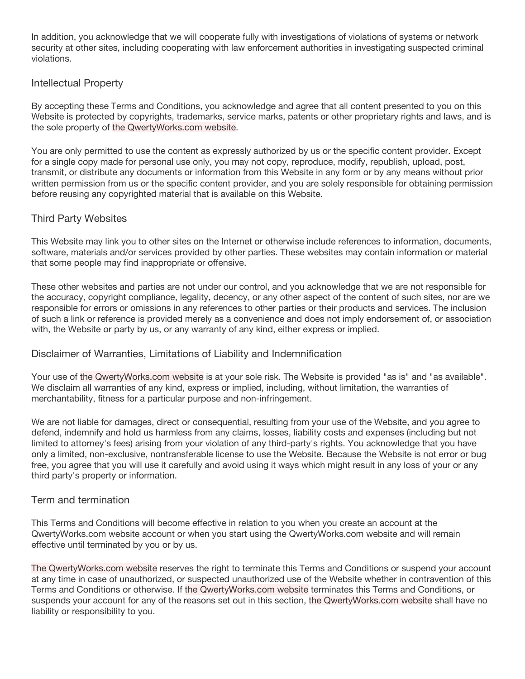In addition, you acknowledge that we will cooperate fully with investigations of violations of systems or network security at other sites, including cooperating with law enforcement authorities in investigating suspected criminal violations.

#### Intellectual Property

By accepting these Terms and Conditions, you acknowledge and agree that all content presented to you on this Website is protected by copyrights, trademarks, service marks, patents or other proprietary rights and laws, and is the sole property of the QwertyWorks.com website.

You are only permitted to use the content as expressly authorized by us or the specific content provider. Except for a single copy made for personal use only, you may not copy, reproduce, modify, republish, upload, post, transmit, or distribute any documents or information from this Website in any form or by any means without prior written permission from us or the specific content provider, and you are solely responsible for obtaining permission before reusing any copyrighted material that is available on this Website.

#### Third Party Websites

This Website may link you to other sites on the Internet or otherwise include references to information, documents, software, materials and/or services provided by other parties. These websites may contain information or material that some people may find inappropriate or offensive.

These other websites and parties are not under our control, and you acknowledge that we are not responsible for the accuracy, copyright compliance, legality, decency, or any other aspect of the content of such sites, nor are we responsible for errors or omissions in any references to other parties or their products and services. The inclusion of such a link or reference is provided merely as a convenience and does not imply endorsement of, or association with, the Website or party by us, or any warranty of any kind, either express or implied.

#### Disclaimer of Warranties, Limitations of Liability and Indemnification

Your use of the QwertyWorks.com website is at your sole risk. The Website is provided "as is" and "as available". We disclaim all warranties of any kind, express or implied, including, without limitation, the warranties of merchantability, fitness for a particular purpose and non-infringement.

We are not liable for damages, direct or consequential, resulting from your use of the Website, and you agree to defend, indemnify and hold us harmless from any claims, losses, liability costs and expenses (including but not limited to attorney's fees) arising from your violation of any third-party's rights. You acknowledge that you have only a limited, non-exclusive, nontransferable license to use the Website. Because the Website is not error or bug free, you agree that you will use it carefully and avoid using it ways which might result in any loss of your or any third party's property or information.

#### Term and termination

This Terms and Conditions will become effective in relation to you when you create an account at the QwertyWorks.com website account or when you start using the QwertyWorks.com website and will remain effective until terminated by you or by us.

The QwertyWorks.com website reserves the right to terminate this Terms and Conditions or suspend your account at any time in case of unauthorized, or suspected unauthorized use of the Website whether in contravention of this Terms and Conditions or otherwise. If the QwertyWorks.com website terminates this Terms and Conditions, or suspends your account for any of the reasons set out in this section, the QwertyWorks.com website shall have no liability or responsibility to you.